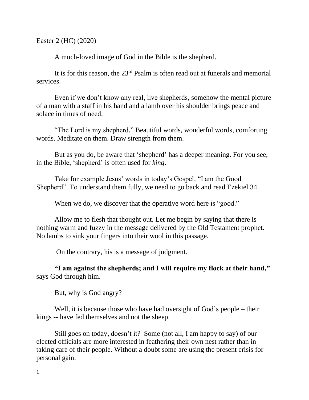Easter 2 (HC) (2020)

A much-loved image of God in the Bible is the shepherd.

It is for this reason, the  $23<sup>rd</sup>$  Psalm is often read out at funerals and memorial services.

Even if we don't know any real, live shepherds, somehow the mental picture of a man with a staff in his hand and a lamb over his shoulder brings peace and solace in times of need.

"The Lord is my shepherd." Beautiful words, wonderful words, comforting words. Meditate on them. Draw strength from them.

But as you do, be aware that 'shepherd' has a deeper meaning. For you see, in the Bible, 'shepherd' is often used for *king*.

Take for example Jesus' words in today's Gospel, "I am the Good Shepherd". To understand them fully, we need to go back and read Ezekiel 34.

When we do, we discover that the operative word here is "good."

Allow me to flesh that thought out. Let me begin by saying that there is nothing warm and fuzzy in the message delivered by the Old Testament prophet. No lambs to sink your fingers into their wool in this passage.

On the contrary, his is a message of judgment.

**"I am against the shepherds; and I will require my flock at their hand, "** says God through him.

But, why is God angry?

Well, it is because those who have had oversight of God's people – their kings -- have fed themselves and not the sheep.

Still goes on today, doesn't it? Some (not all, I am happy to say) of our elected officials are more interested in feathering their own nest rather than in taking care of their people. Without a doubt some are using the present crisis for personal gain.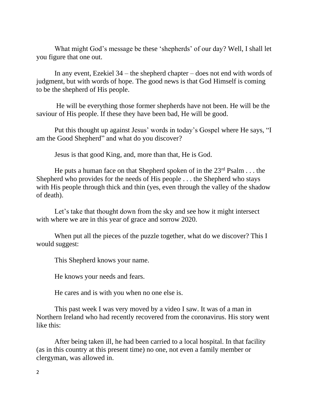What might God's message be these 'shepherds' of our day? Well, I shall let you figure that one out.

In any event, Ezekiel 34 – the shepherd chapter – does not end with words of judgment, but with words of hope. The good news is that God Himself is coming to be the shepherd of His people.

He will be everything those former shepherds have not been. He will be the saviour of His people. If these they have been bad, He will be good.

Put this thought up against Jesus' words in today's Gospel where He says, "I am the Good Shepherd" and what do you discover?

Jesus is that good King, and, more than that, He is God.

He puts a human face on that Shepherd spoken of in the  $23<sup>rd</sup>$  Psalm . . . the Shepherd who provides for the needs of His people . . . the Shepherd who stays with His people through thick and thin (yes, even through the valley of the shadow of death).

Let's take that thought down from the sky and see how it might intersect with where we are in this year of grace and sorrow 2020.

When put all the pieces of the puzzle together, what do we discover? This I would suggest:

This Shepherd knows your name.

He knows your needs and fears.

He cares and is with you when no one else is.

This past week I was very moved by a video I saw. It was of a man in Northern Ireland who had recently recovered from the coronavirus. His story went like this:

After being taken ill, he had been carried to a local hospital. In that facility (as in this country at this present time) no one, not even a family member or clergyman, was allowed in.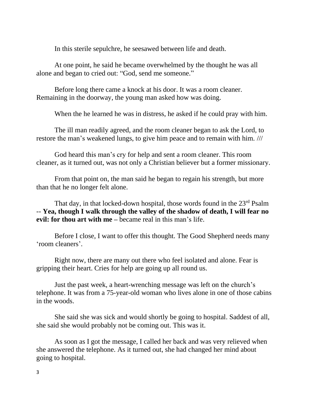In this sterile sepulchre, he seesawed between life and death.

At one point, he said he became overwhelmed by the thought he was all alone and began to cried out: "God, send me someone."

Before long there came a knock at his door. It was a room cleaner. Remaining in the doorway, the young man asked how was doing.

When the he learned he was in distress, he asked if he could pray with him.

The ill man readily agreed, and the room cleaner began to ask the Lord, to restore the man's weakened lungs, to give him peace and to remain with him. ///

God heard this man's cry for help and sent a room cleaner. This room cleaner, as it turned out, was not only a Christian believer but a former missionary.

From that point on, the man said he began to regain his strength, but more than that he no longer felt alone.

That day, in that locked-down hospital, those words found in the 23<sup>rd</sup> Psalm -- **Yea, though I walk through the valley of the shadow of death, I will fear no evil: for thou art with me –** became real in this man's life.

Before I close, I want to offer this thought. The Good Shepherd needs many 'room cleaners'.

Right now, there are many out there who feel isolated and alone. Fear is gripping their heart. Cries for help are going up all round us.

Just the past week, a heart-wrenching message was left on the church's telephone. It was from a 75-year-old woman who lives alone in one of those cabins in the woods.

She said she was sick and would shortly be going to hospital. Saddest of all, she said she would probably not be coming out. This was it.

As soon as I got the message, I called her back and was very relieved when she answered the telephone. As it turned out, she had changed her mind about going to hospital.